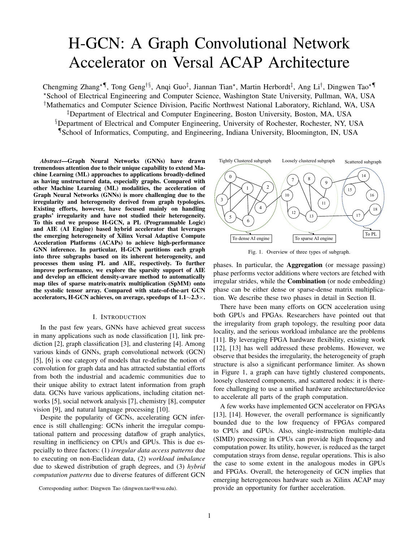# H-GCN: A Graph Convolutional Network Accelerator on Versal ACAP Architecture

Chengming Zhang\*¶, Tong Geng<sup>†§</sup>, Anqi Guo<sup>‡</sup>, Jiannan Tian\*, Martin Herbordt<sup>‡</sup>, Ang Li<sup>†</sup>, Dingwen Tao\*¶ <sup>⋆</sup>School of Electrical Engineering and Computer Science, Washington State University, Pullman, WA, USA †Mathematics and Computer Science Division, Pacific Northwest National Laboratory, Richland, WA, USA ‡Department of Electrical and Computer Engineering, Boston University, Boston, MA, USA §Department of Electrical and Computer Engineering, University of Rochester, Rochester, NY, USA

¶School of Informatics, Computing, and Engineering, Indiana University, Bloomington, IN, USA

*Abstract*—Graph Neural Networks (GNNs) have drawn tremendous attention due to their unique capability to extend Machine Learning (ML) approaches to applications broadly-defined as having unstructured data, especially graphs. Compared with other Machine Learning (ML) modalities, the acceleration of Graph Neural Networks (GNNs) is more challenging due to the irregularity and heterogeneity derived from graph typologies. Existing efforts, however, have focused mainly on handling graphs' irregularity and have not studied their heterogeneity. To this end we propose H-GCN, a PL (Programmable Logic) and AIE (AI Engine) based hybrid accelerator that leverages the emerging heterogeneity of Xilinx Versal Adaptive Compute Acceleration Platforms (ACAPs) to achieve high-performance GNN inference. In particular, H-GCN partitions each graph into three subgraphs based on its inherent heterogeneity, and processes them using PL and AIE, respectively. To further improve performance, we explore the sparsity support of AIE and develop an efficient density-aware method to automatically map tiles of sparse matrix-matrix multiplication (SpMM) onto the systolic tensor array. Compared with state-of-the-art GCN accelerators, H-GCN achieves, on average, speedups of 1.1∼2.3×.

# I. INTRODUCTION

In the past few years, GNNs have achieved great success in many applications such as node classification [\[1\]](#page-8-0), link prediction [\[2\]](#page-8-1), graph classification [\[3\]](#page-8-2), and clustering [\[4\]](#page-8-3). Among various kinds of GNNs, graph convolutional network (GCN) [\[5\]](#page-8-4), [\[6\]](#page-8-5) is one category of models that re-define the notion of convolution for graph data and has attracted substantial efforts from both the industrial and academic communities due to their unique ability to extract latent information from graph data. GCNs have various applications, including citation networks [\[5\]](#page-8-4), social network analysis [\[7\]](#page-8-6), chemistry [\[8\]](#page-8-7), computer vision [\[9\]](#page-8-8), and natural language processing [\[10\]](#page-8-9).

Despite the popularity of GCNs, accelerating GCN inference is still challenging: GCNs inherit the irregular computational pattern and processing dataflow of graph analytics, resulting in inefficiency on CPUs and GPUs. This is due especially to three factors: (1) *irregular data access patterns* due to executing on non-Euclidean data, (2) *workload imbalance* due to skewed distribution of graph degrees, and (3) *hybrid computation patterns* due to diverse features of different GCN

0 2 3 1 4 5 6 15 14 16 17 18  $7\lambda$  (3) (9) 10 8 11 12 13 Tightly Clustered subgraph Loosely clustered subgraph Scattered subgraph To dense AI engine To sparse AI engine To PL

<span id="page-0-0"></span>Fig. 1. Overview of three types of subgraph.

phases. In particular, the Aggregation (or message passing) phase performs vector additions where vectors are fetched with irregular strides, while the **Combination** (or node embedding) phase can be either dense or sparse-dense matrix multiplication. We describe these two phases in detail in Section [II.](#page-1-0)

There have been many efforts on GCN acceleration using both GPUs and FPGAs. Researchers have pointed out that the irregularity from graph topology, the resulting poor data locality, and the serious workload imbalance are the problems [\[11\]](#page-8-10). By leveraging FPGA hardware flexibility, existing work [\[12\]](#page-8-11), [\[13\]](#page-8-12) has well addressed these problems. However, we observe that besides the irregularity, the heterogeneity of graph structure is also a significant performance limiter. As shown in Figure [1,](#page-0-0) a graph can have tightly clustered components, loosely clustered components, and scattered nodes: it is therefore challenging to use a unified hardware architecture/device to accelerate all parts of the graph computation.

A few works have implemented GCN accelerator on FPGAs [\[13\]](#page-8-12), [\[14\]](#page-8-13). However, the overall performance is significantly bounded due to the low frequency of FPGAs compared to CPUs and GPUs. Also, single-instruction multiple-data (SIMD) processing in CPUs can provide high frequency and computation power. Its utility, however, is reduced as the target computation strays from dense, regular operations. This is also the case to some extent in the analogous modes in GPUs and FPGAs. Overall, the heterogeneity of GCN implies that emerging heterogeneous hardware such as Xilinx ACAP may provide an opportunity for further acceleration.

Corresponding author: Dingwen Tao [\(dingwen.tao@wsu.edu\)](dingwen.tao@wsu.edu).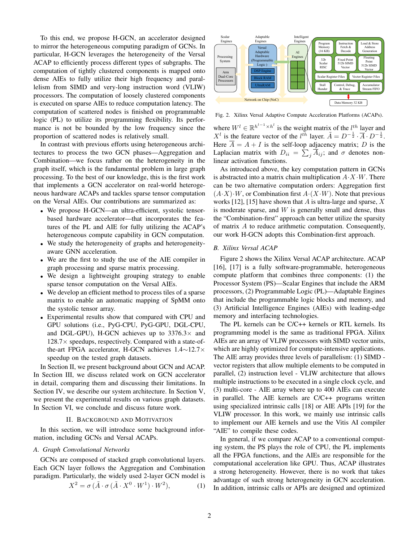To this end, we propose H-GCN, an accelerator designed to mirror the heterogeneous computing paradigm of GCNs. In particular, H-GCN leverages the heterogeneity of the Versal ACAP to efficiently process different types of subgraphs. The computation of tightly clustered components is mapped onto dense AIEs to fully utilize their high frequency and parallelism from SIMD and very-long instruction word (VLIW) processors. The computation of loosely clustered components is executed on sparse AIEs to reduce computation latency. The computation of scattered nodes is finished on programmable logic (PL) to utilize its programming flexibility. Its performance is not be bounded by the low frequency since the proportion of scattered nodes is relatively small.

In contrast with previous efforts using heterogeneous architectures to process the two GCN phases—Aggregation and Combination—we focus rather on the heterogeneity in the graph itself, which is the fundamental problem in large graph processing. To the best of our knowledge, this is the first work that implements a GCN accelerator on real-world heterogeneous hardware ACAPs and tackles sparse tensor computation on the Versal AIEs. Our contributions are summarized as:

- We propose H-GCN—an ultra-efficient, systolic tensorbased hardware accelerator—that incorporates the features of the PL and AIE for fully utilizing the ACAP's heterogeneous compute capability in GCN computation.
- We study the heterogeneity of graphs and heterogeneityaware GNN acceleration.
- We are the first to study the use of the AIE compiler in graph processing and sparse matrix processing.
- We design a lightweight grouping strategy to enable sparse tensor computation on the Versal AIEs.
- We develop an efficient method to process tiles of a sparse matrix to enable an automatic mapping of SpMM onto the systolic tensor array.
- Experimental results show that compared with CPU and GPU solutions (i.e., PyG-CPU, PyG-GPU, DGL-CPU, and DGL-GPU), H-GCN achieves up to  $3376.3\times$  and  $128.7\times$  speedups, respectively. Compared with a state-ofthe-art FPGA accelerator, H-GCN achieves 1.4∼12.7× speedup on the tested graph datasets.

In Section [II,](#page-1-0) we present background about GCN and ACAP. In Section [III,](#page-2-0) we discuss related work on GCN accelerator in detail, comparing them and discussing their limitations. In Section [IV,](#page-2-1) we describe our system architecture. In Section [V,](#page-5-0) we present the experimental results on various graph datasets. In Section [VI,](#page-7-0) we conclude and discuss future work.

#### II. BACKGROUND AND MOTIVATION

<span id="page-1-0"></span>In this section, we will introduce some background information, including GCNs and Versal ACAPs.

#### <span id="page-1-2"></span>*A. Graph Convolutional Networks*

GCNs are composed of stacked graph convolutional layers. Each GCN layer follows the Aggregation and Combination paradigm. Particularly, the widely used 2-layer GCN model is

$$
X^{2} = \sigma (\tilde{A} \cdot \sigma (\tilde{A} \cdot X^{0} \cdot W^{1}) \cdot W^{2}), \qquad (1)
$$



<span id="page-1-1"></span>Fig. 2. Xilinx Versal Adaptive Compute Acceleration Platforms (ACAPs).

where  $W^l \in \mathbb{R}^{h^{l-1} \times h^l}$  is the weight matrix of the  $l^{th}$  layer and  $X^l$  is the feature vector of the  $l^{th}$  layer.  $\tilde{A} = D^{-\frac{1}{2}} \cdot \overline{A} \cdot D^{-\frac{1}{2}}$ . Here  $\overline{A} = A + I$  is the self-loop adjacency matrix; D is the Laplacian matrix with  $D_{ii} = \sum_j \overline{A}_{ij}$ ; and  $\sigma$  denotes nonlinear activation functions.

As introduced above, the key computation pattern in GCNs is abstracted into a matrix chain multiplication  $A \cdot X \cdot W$ . There can be two alternative computation orders: Aggregation first  $(A \cdot X) \cdot W$ , or Combination first  $A \cdot (X \cdot W)$ . Note that previous works [\[12\]](#page-8-11), [\[15\]](#page-8-14) have shown that A is ultra-large and sparse, X is moderate sparse, and  $W$  is generally small and dense, thus the "Combination-first" approach can better utilize the sparsity of matrix A to reduce arithmetic computation. Consequently, our work H-GCN adopts this Combination-first approach.

## *B. Xilinx Versal ACAP*

Figure [2](#page-1-1) shows the Xilinx Versal ACAP architecture. ACAP [\[16\]](#page-8-15), [\[17\]](#page-8-16) is a fully software-programmable, heterogeneous compute platform that combines three components: (1) the Processor System (PS)—Scalar Engines that include the ARM processors, (2) Programmable Logic (PL)—Adaptable Engines that include the programmable logic blocks and memory, and (3) Artificial Intelligence Engines (AIEs) with leading-edge memory and interfacing technologies.

The PL kernels can be C/C++ kernels or RTL kernels. Its programming model is the same as traditional FPGA. Xilinx AIEs are an array of VLIW processors with SIMD vector units, which are highly optimized for compute-intensive applications. The AIE array provides three levels of parallelism: (1) SIMD vector registers that allow multiple elements to be computed in parallel, (2) instruction level - VLIW architecture that allows multiple instructions to be executed in a single clock cycle, and (3) multi-core - AIE array where up to 400 AIEs can execute in parallel. The AIE kernels are C/C++ programs written using specialized intrinsic calls [\[18\]](#page-8-17) or AIE APIs [\[19\]](#page-8-18) for the VLIW processor. In this work, we mainly use intrinsic calls to implement our AIE kernels and use the Vitis AI compiler "AIE" to compile these codes.

<span id="page-1-3"></span>In general, if we compare ACAP to a conventional computing system, the PS plays the role of CPU, the PL implements all the FPGA functions, and the AIEs are responsible for the computational acceleration like GPU. Thus, ACAP illustrates a strong heterogeneity. However, there is no work that takes advantage of such strong heterogeneity in GCN acceleration. In addition, intrinsic calls or APIs are designed and optimized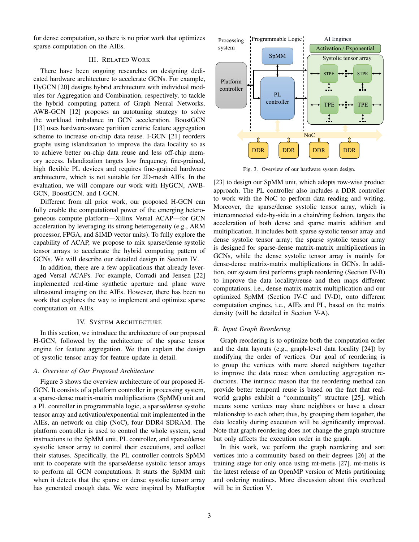for dense computation, so there is no prior work that optimizes sparse computation on the AIEs.

# III. RELATED WORK

<span id="page-2-0"></span>There have been ongoing researches on designing dedicated hardware architecture to accelerate GCNs. For example, HyGCN [\[20\]](#page-8-19) designs hybrid architecture with individual modules for Aggregation and Combination, respectively, to tackle the hybrid computing pattern of Graph Neural Networks. AWB-GCN [\[12\]](#page-8-11) proposes an autotuning strategy to solve the workload imbalance in GCN acceleration. BoostGCN [\[13\]](#page-8-12) uses hardware-aware partition centric feature aggregation scheme to increase on-chip data reuse. I-GCN [\[21\]](#page-8-20) reorders graphs using islandization to improve the data locality so as to achieve better on-chip data reuse and less off-chip memory access. Islandization targets low frequency, fine-grained, high flexible PL devices and requires fine-grained hardware architecture, which is not suitable for 2D-mesh AIEs. In the evaluation, we will compare our work with HyGCN, AWB-GCN, BoostGCN, and I-GCN.

Different from all prior work, our proposed H-GCN can fully enable the computational power of the emerging heterogeneous compute platform—Xilinx Versal ACAP—for GCN acceleration by leveraging its strong heterogeneity (e.g., ARM processor, FPGA, and SIMD vector units). To fully explore the capability of ACAP, we propose to mix sparse/dense systolic tensor arrays to accelerate the hybrid computing pattern of GCNs. We will describe our detailed design in Section [IV.](#page-2-1)

In addition, there are a few applications that already leveraged Versal ACAPs. For example, Corradi and Jensen [\[22\]](#page-8-21) implemented real-time synthetic aperture and plane wave ultrasound imaging on the AIEs. However, there has been no work that explores the way to implement and optimize sparse computation on AIEs.

#### IV. SYSTEM ARCHITECTURE

<span id="page-2-1"></span>In this section, we introduce the architecture of our proposed H-GCN, followed by the architecture of the sparse tensor engine for feature aggregation. We then explain the design of systolic tensor array for feature update in detail.

## *A. Overview of Our Proposed Architecture*

Figure [3](#page-2-2) shows the overview architecture of our proposed H-GCN. It consists of a platform controller in processing system, a sparse-dense matrix-matrix multiplications (SpMM) unit and a PL controller in programmable logic, a sparse/dense systolic tensor array and activation/exponential unit implemented in the AIEs, an network on chip (NoC), four DDR4 SDRAM. The platform controller is used to control the whole system, send instructions to the SpMM unit, PL controller, and sparse/dense systolic tensor array to control their executions, and collect their statuses. Specifically, the PL controller controls SpMM unit to cooperate with the sparse/dense systolic tensor arrays to perform all GCN computations. It starts the SpMM unit when it detects that the sparse or dense systolic tensor array has generated enough data. We were inspired by MatRaptor



<span id="page-2-2"></span>Fig. 3. Overview of our hardware system design.

[\[23\]](#page-8-22) to design our SpMM unit, which adopts row-wise product approach. The PL controller also includes a DDR controller to work with the NoC to perform data reading and writing. Moreover, the sparse/dense systolic tensor array, which is interconnected side-by-side in a chain/ring fashion, targets the acceleration of both dense and sparse matrix addition and multiplication. It includes both sparse systolic tensor array and dense systolic tensor array; the sparse systolic tensor array is designed for sparse-dense matrix-matrix multiplications in GCNs, while the dense systolic tensor array is mainly for dense-dense matrix-matrix multiplications in GCNs. In addition, our system first performs graph reordering (Section [IV-B\)](#page-2-3) to improve the data locality/reuse and then maps different computations, i.e., dense matrix-matrix multiplication and our optimized SpMM (Section [IV-C](#page-3-0) and [IV-D\)](#page-4-0), onto different computation engines, i.e., AIEs and PL, based on the matrix density (will be detailed in Section [V-A\)](#page-5-1).

# <span id="page-2-3"></span>*B. Input Graph Reordering*

Graph reordering is to optimize both the computation order and the data layouts (e.g., graph-level data locality [\[24\]](#page-8-23)) by modifying the order of vertices. Our goal of reordering is to group the vertices with more shared neighbors together to improve the data reuse when conducting aggregation reductions. The intrinsic reason that the reordering method can provide better temporal reuse is based on the fact that realworld graphs exhibit a "community" structure [\[25\]](#page-8-24), which means some vertices may share neighbors or have a closer relationship to each other; thus, by grouping them together, the data locality during execution will be significantly improved. Note that graph reordering does not change the graph structure but only affects the execution order in the graph.

In this work, we perform the graph reordering and sort vertices into a community based on their degrees [\[26\]](#page-8-25) at the training stage for only once using mt-metis [\[27\]](#page-8-26). mt-metis is the latest release of an OpenMP version of Metis partitioning and ordering routines. More discussion about this overhead will be in Section [V.](#page-5-0)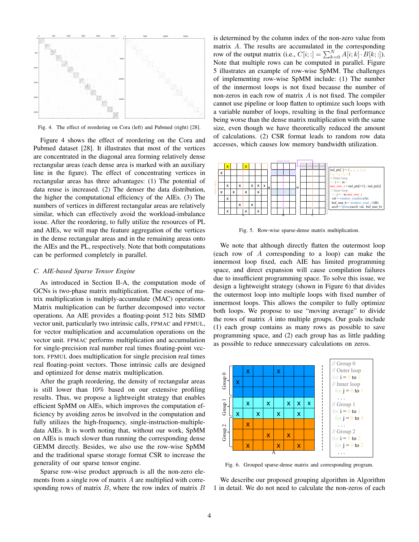

<span id="page-3-1"></span>Fig. 4. The effect of reordering on Cora (left) and Pubmed (right) [\[28\]](#page-8-27).

Figure [4](#page-3-1) shows the effect of reordering on the Cora and Pubmed dataset [\[28\]](#page-8-27). It illustrates that most of the vertices are concentrated in the diagonal area forming relatively dense rectangular areas (each dense area is marked with an auxiliary line in the figure). The effect of concentrating vertices in rectangular areas has three advantages: (1) The potential of data reuse is increased. (2) The denser the data distribution, the higher the computational efficiency of the AIEs. (3) The numbers of vertices in different rectangular areas are relatively similar, which can effectively avoid the workload-imbalance issue. After the reordering, to fully utilize the resources of PL and AIEs, we will map the feature aggregation of the vertices in the dense rectangular areas and in the remaining areas onto the AIEs and the PL, respectively. Note that both computations can be performed completely in parallel.

# <span id="page-3-0"></span>*C. AIE-based Sparse Tensor Engine*

As introduced in Section [II-A,](#page-1-2) the computation mode of GCNs is two-phase matrix multiplication. The essence of matrix multiplication is multiply-accumulate (MAC) operations. Matrix multiplication can be further decomposed into vector operations. An AIE provides a floating-point 512 bits SIMD vector unit, particularly two intrinsic calls, FPMAC and FPMUL, for vector multiplication and accumulation operations on the vector unit. FPMAC performs multiplication and accumulation for single-precision real number real times floating-point vectors. FPMUL does multiplication for single precision real times real floating-point vectors. Those intrinsic calls are designed and optimized for dense matrix multiplication.

After the graph reordering, the density of rectangular areas is still lower than 10% based on our extensive profiling results. Thus, we propose a lightweight strategy that enables efficient SpMM on AIEs, which improves the computation efficiency by avoiding zeros be involved in the computation and fully utilizes the high-frequency, single-instruction-multipledata AIEs. It is worth noting that, without our work, SpMM on AIEs is much slower than running the corresponding dense GEMM directly. Besides, we also use the row-wise SpMM and the traditional sparse storage format CSR to increase the generality of our sparse tensor engine.

Sparse row-wise product approach is all the non-zero elements from a single row of matrix A are multiplied with corresponding rows of matrix  $B$ , where the row index of matrix  $B$ 

is determined by the column index of the non-zero value from matrix A. The results are accumulated in the corresponding row of the output matrix (i.e.,  $C[i; :] = \sum_{k=0}^{N} A[i; k] \cdot B[k; : ])$ . Note that multiple rows can be computed in parallel. Figure [5](#page-3-2) illustrates an example of row-wise SpMM. The challenges of implementing row-wise SpMM include: (1) The number of the innermost loops is not fixed because the number of non-zeros in each row of matrix A is not fixed. The compiler cannot use pipeline or loop flatten to optimize such loops with a variable number of loops, resulting in the final performance being worse than the dense matrix multiplication with the same size, even though we have theoretically reduced the amount of calculations. (2) CSR format leads to random row data accesses, which causes low memory bandwidth utilization.



<span id="page-3-2"></span>Fig. 5. Row-wise sparse-dense matrix multiplication.

We note that although directly flatten the outermost loop (each row of A corresponding to a loop) can make the innermost loop fixed, each AIE has limited programming space, and direct expansion will cause compilation failures due to insufficient programming space. To solve this issue, we design a lightweight strategy (shown in Figure [6\)](#page-3-3) that divides the outermost loop into multiple loops with fixed number of innermost loops. This allows the compiler to fully optimize both loops. We propose to use "moving average" to divide the rows of matrix  $A$  into multiple groups. Our goals include (1) each group contains as many rows as possible to save programming space, and (2) each group has as little padding as possible to reduce unnecessary calculations on zeros.



<span id="page-3-3"></span>Fig. 6. Grouped sparse-dense matrix and corresponding program.

We describe our proposed grouping algorithm in Algorithm [1](#page-4-1) in detail. We do not need to calculate the non-zeros of each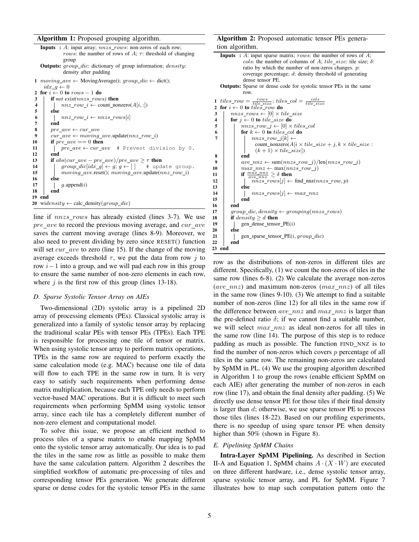#### Algorithm 1: Proposed grouping algorithm.

```
Inputs : A: input array; nnzs\_rows: non-zeros of each row;
               rows: the number of rows of A; \tau: threshold of changing
               group
    Outputs: group\_dic: dictionary of group information; density:
               density after padding
 1 moving\_ave \leftarrow MovingAverage(); group\_dic \leftarrow dict();idx\_g \leftarrow 02 for i \leftarrow 0 to rows - 1 do
 \begin{array}{c|c} 3 & \text{if } not exist(nnzs\_rows) \text{ then} \\ 4 & \text{if } nnz \text{ row } i \leftarrow \text{count not} \end{array}nnz_{\text{row}\_i} \leftarrow \text{count\_nonzero}(A[i, :])5 else
 6 | \nmid nnz_{row_i} \leftarrow nnzs_{rows}[i]7 end
 8 | pre\_ave \leftarrow cur\_ave9 cur_ave ← moving_ave.update(nnz_row_i)
10 if pre\_ave == 0 then
11 | pre ave \leftarrow cur\_{ave} # Prevent division by 0.
12 end
13 if abs(cur\_ave-pre\_ave)/pre\_ave \geq \tau then
14 \left| \begin{array}{c} | \end{array} \right| group_dic[idx_g] \leftarrow g; g \leftarrow [] # update group.
15 moving_ave.reset(); moving_ave.update(nnz_row_i)
16 else
17 | g.append(i)18 end
19 end
20 widensity \leftarrow calc_density(group_dic)
```
<span id="page-4-1"></span>line if  $nnzs_{rows}$  has already existed (lines 3-7). We use  $pre\_ave$  to record the previous moving average, and  $cur\_ave$ saves the current moving average (lines 8-9). Moreover, we also need to prevent dividing by zero since RESET() function will set  $cur\_ave$  to zero (line 15). If the change of the moving average exceeds threshold  $\tau$ , we put the data from row j to row  $i-1$  into a group, and we will pad each row in this group to ensure the same number of non-zero elements in each row, where  $j$  is the first row of this group (lines 13-18).

#### <span id="page-4-0"></span>*D. Sparse Systolic Tensor Array on AIEs*

Two-dimensional (2D) systolic array is a pipelined 2D array of processing elements (PEs). Classical systolic array is generalized into a family of systolic tensor array by replacing the traditional scalar PEs with tensor PEs (TPEs). Each TPE is responsible for processing one tile of tensor or matrix. When using systolic tensor array to perform matrix operations, TPEs in the same row are required to perform exactly the same calculation mode (e.g. MAC) because one tile of data will flow to each TPE in the same row in turn. It is very easy to satisfy such requirements when performing dense matrix multiplication, because each TPE only needs to perform vector-based MAC operations. But it is difficult to meet such requirements when performing SpMM using systolic tensor array, since each tile has a completely different number of non-zero element and computational model.

To solve this issue, we propose an efficient method to process tiles of a sparse matrix to enable mapping SpMM onto the systolic tensor array automatically. Our idea is to pad the tiles in the same row as little as possible to make them have the same calculation pattern. Algorithm [2](#page-4-2) describes the simplified workflow of automatic pre-processing of tiles and corresponding tensor PEs generation. We generate different sparse or dense codes for the systolic tensor PEs in the same

# Algorithm 2: Proposed automatic tensor PEs generation algorithm.

|                         |        | <b>Inputs</b> : A: input sparse matrix; <i>rows</i> : the number of rows of A;  |
|-------------------------|--------|---------------------------------------------------------------------------------|
|                         |        | <i>cols:</i> the number of columns of A; tile_size: tile size; $\delta$ :       |
|                         |        | ratio by which the number of non-zeros changes. $p$ :                           |
|                         |        | coverage percentage; $d$ : density threshold of generating                      |
|                         |        | dense tensor PE.                                                                |
|                         |        | <b>Outputs:</b> Sparse or dense code for systolic tensor PEs in the same        |
|                         |        | row.                                                                            |
|                         |        |                                                                                 |
|                         |        | 1 tiles_row = $\frac{rows}{tile\_size}$ ; tiles_col = $\frac{cols}{tile\_size}$ |
| $\mathbf{2}$            |        | for $i \leftarrow 0$ to tiles row do                                            |
| 3                       |        | $nnzs\_rows \leftarrow [0] \times tile\_size$                                   |
| $\overline{\mathbf{4}}$ |        | for $j \leftarrow 0$ to tile_size do                                            |
| 5                       |        | $nnzs\_row_i \leftarrow [0] \times tiles\_col$                                  |
| 6                       |        | for $k \leftarrow 0$ to tiles col do                                            |
| 7                       |        | $nnzs_{row_{j}[k]} \leftarrow$                                                  |
|                         |        | count_nonzero( $A[i \times tile\_size + j, k \times tile\_size$ :               |
|                         |        | $(k+1) \times tile\_size$                                                       |
| 8                       |        | end                                                                             |
| 9                       |        | $ave\_nnz \leftarrow sum(nnzs\_row\_j)/len(nnzs\_row\_j)$                       |
| 10                      |        | $max\_nnz \leftarrow max(nnzs\_row\_j)$                                         |
| 11                      |        | if $\frac{max\_nnz}{ave\_nnz} \ge \delta$ then                                  |
| 12                      |        | $n\overline{n}zs\_rows[j] \leftarrow \text{find\_nnz}(nnzs\_row, p)$            |
| 13                      |        | else                                                                            |
| 14                      |        | $nnzs\_rows[j] \leftarrow max\_nnz$                                             |
| 15                      |        | end                                                                             |
| 16                      |        | end                                                                             |
| 17                      |        | $group\_dic, density \leftarrow grouping(nnzs\_rows)$                           |
| 18                      |        | if $density \geq d$ then                                                        |
| 19                      |        | gen_dense_tensor_ $PE(i)$                                                       |
| 20                      |        | else                                                                            |
| 21                      |        | gen_sparse_tensor_PE $(i, group\_dic)$                                          |
| 22                      |        | end                                                                             |
|                         | 23 end |                                                                                 |

<span id="page-4-2"></span>row as the distributions of non-zeros in different tiles are different. Specifically, (1) we count the non-zeros of tiles in the same row (lines 6-8). (2) We calculate the average non-zeros  $(ave\_nnz)$  and maximum non-zeros  $(max\_nnz)$  of all tiles in the same row (lines 9-10). (3) We attempt to find a suitable number of non-zeros (line 12) for all tiles in the same row if the difference between  $ave\_nnz$  and  $max\_nnz$  is larger than the pre-defined ratio  $\delta$ ; if we cannot find a suitable number, we will select  $max\_nnz$  as ideal non-zeros for all tiles in the same row (line 14). The purpose of this step is to reduce padding as much as possible. The function FIND\_NNZ is to find the number of non-zeros which covers  $p$  percentage of all tiles in the same row. The remaining non-zeros are calculated by SpMM in PL. (4) We use the grouping algorithm described in Algorithm [1](#page-4-1) to group the rows (enable efficient SpMM on each AIE) after generating the number of non-zeros in each row (line 17), and obtain the final density after padding. (5) We directly use dense tensor PE for those tiles if their final density is larger than d; otherwise, we use sparse tensor PE to process those tiles (lines 18-22). Based on our profiling experiments, there is no speedup of using spare tensor PE when density higher than 50% (shown in Figure [8\)](#page-6-0).

#### *E. Pipelining SpMM Chains*

Intra-Layer SpMM Pipelining. As described in Section [II-A](#page-1-2) and Equation [1,](#page-1-3) SpMM chains  $A \cdot (X \cdot W)$  are executed on three different hardware, i.e., dense systolic tensor array, sparse systolic tensor array, and PL for SpMM. Figure [7](#page-5-2) illustrates how to map such computation pattern onto the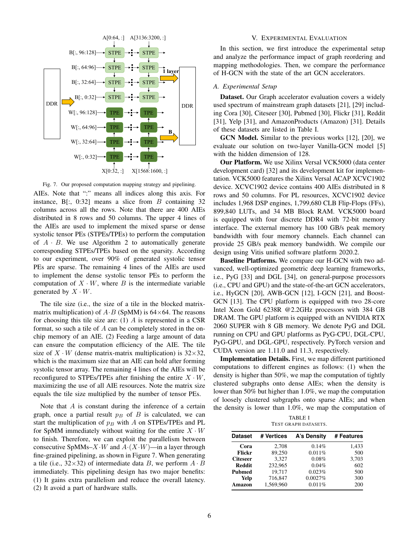

<span id="page-5-2"></span>Fig. 7. Our proposed computation mapping strategy and pipelining.

distributed in 8 rows and 50 columns. The upper 4 lines of instance, B[:, 0:32] means a slice from  $B$  containing 32 AIEs. Note that ":" means all indices along this axis. For columns across all the rows. Note that there are 400 AIEs the AIEs are used to implement the mixed sparse or dense systolic tensor PEs (STPEs/TPEs) to perform the computation of  $A \cdot B$ . We use Algorithm 2 to automatically generate corresponding STPEs/TPEs based on the sparsity. According to our experiment, over 90% of generated systolic tensor PEs are sparse. The remaining 4 lines of the AIEs are used to implement the dense systolic tensor PEs to perform the computation of  $X \cdot W$ , where B is the intermediate variable generated by  $X \cdot W$ .

The tile size (i.e., the size of a tile in the blocked matrixmatrix multiplication) of  $A \cdot B$  (SpMM) is 64×64. The reasons for choosing this tile size are:  $(1)$  A is represented in a CSR format, so such a tile of A can be completely stored in the onchip memory of an AIE. (2) Feeding a large amount of data can ensure the computation efficiency of the AIE. The tile size of  $X \cdot W$  (dense matrix-matrix multiplication) is 32×32, which is the maximum size that an AIE can hold after forming systolic tensor array. The remaining 4 lines of the AIEs will be reconfigured to STPEs/TPEs after finishing the entire  $X \cdot W$ , maximizing the use of all AIE resources. Note the matrix size equals the tile size multiplied by the number of tensor PEs.

Note that  $A$  is constant during the inference of a certain graph, once a partial result  $p_B$  of B is calculated, we can start the multiplication of  $p_B$  with A on STPEs/TPEs and PL for SpMM immediately without waiting for the entire  $X \cdot W$ to finish. Therefore, we can exploit the parallelism between consecutive SpMMs– $X \cdot W$  and  $A \cdot (X \cdot W)$ —in a layer through fine-grained pipelining, as shown in Figure [7.](#page-5-2) When generating a tile (i.e.,  $32\times32$ ) of intermediate data B, we perform  $A \cdot B$ immediately. This pipelining design has two major benefits: (1) It gains extra parallelism and reduce the overall latency. (2) It avoid a part of hardware stalls.

# V. EXPERIMENTAL EVALUATION

<span id="page-5-0"></span>In this section, we first introduce the experimental setup and analyze the performance impact of graph reordering and mapping methodologies. Then, we compare the performance of H-GCN with the state of the art GCN accelerators.

# <span id="page-5-1"></span>*A. Experimental Setup*

Dataset. Our Graph accelerator evaluation covers a widely used spectrum of mainstream graph datasets [\[21\]](#page-8-20), [\[29\]](#page-8-28) including Cora [\[30\]](#page-8-29), Citeseer [\[30\]](#page-8-29), Pubmed [\[30\]](#page-8-29), Flickr [\[31\]](#page-8-30), Reddit [\[31\]](#page-8-30), Yelp [31], and AmazonProducts (Amazon) [31]. Details of these datasets are listed in Table [I.](#page-5-3)

GCN Model. Similar to the previous works [\[12\]](#page-8-11), [\[20\]](#page-8-19), we evaluate our solution on two-layer Vanilla-GCN model [\[5\]](#page-8-4) with the hidden dimension of 128.

Our Platform. We use Xilinx Versal VCK5000 (data center development card) [\[32\]](#page-8-31) and its development kit for implementation. VCK5000 features the Xilinx Versal ACAP XCVC1902 device. XCVC1902 device contains 400 AIEs distributed in 8 rows and 50 columns. For PL resources, XCVC1902 device includes 1,968 DSP engines, 1,799,680 CLB Flip-Flops (FFs), 899,840 LUTs, and 34 MB Block RAM. VCK5000 board is equipped with four discrete DDR4 with 72-bit memory interface. The external memory has 100 GB/s peak memory bandwidth with four memory channels. Each channel can provide 25 GB/s peak memory bandwidth. We compile our design using Vitis unified software platform 2020.2.

Baseline Platforms. We compare our H-GCN with two advanced, well-optimized geometric deep learning frameworks, i.e., PyG [\[33\]](#page-8-32) and DGL [\[34\]](#page-8-33), on general-purpose processors (i.e., CPU and GPU) and the state-of-the-art GCN accelerators, i.e., HyGCN [\[20\]](#page-8-19), AWB-GCN [\[12\]](#page-8-11), I-GCN [\[21\]](#page-8-20), and Boost-GCN [\[13\]](#page-8-12). The CPU platform is equipped with two 28-core Intel Xeon Gold 6238R @2.2GHz processors with 384 GB DRAM. The GPU platform is equipped with an NVIDIA RTX 2060 SUPER with 8 GB memory. We denote PyG and DGL running on CPU and GPU platforms as PyG-CPU, DGL-CPU, PyG-GPU, and DGL-GPU, respectively. PyTorch version and CUDA version are 1.11.0 and 11.3, respectively.

Implementation Details. First, we map different partitioned computations to different engines as follows: (1) when the density is higher than 50%, we map the computation of tightly clustered subgraphs onto dense AIEs; when the density is lower than 50% but higher than 1.0%, we map the computation of loosely clustered subgraphs onto sparse AIEs; and when the density is lower than 1.0%, we map the computation of

TABLE I TEST GRAPH DATASETS.

<span id="page-5-3"></span>

| <b>Dataset</b>  | # Vertices | A's Density | # Features |
|-----------------|------------|-------------|------------|
| Cora            | 2,708      | 0.14%       | 1,433      |
| Flickr          | 89,250     | 0.011%      | 500        |
| <b>Citeseer</b> | 3,327      | 0.08%       | 3,703      |
| <b>Reddit</b>   | 232,965    | 0.04%       | 602        |
| <b>Pubmed</b>   | 19,717     | 0.023%      | 500        |
| Yelp            | 716,847    | 0.0027%     | 300        |
| Amazon          | 1,569,960  | 0.011%      | 200        |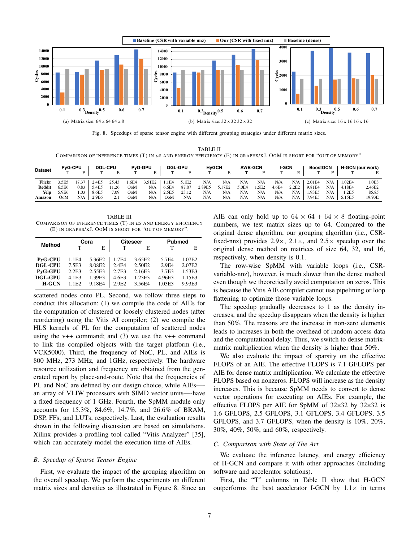

<span id="page-6-0"></span>Fig. 8. Speedups of sparse tensor engine with different grouping strategies under different matrix sizes.

| TABLE II                                                                                                               |  |
|------------------------------------------------------------------------------------------------------------------------|--|
| Comparison of inference times (T) in $\mu$ s and energy efficiency (E) in graphs/kJ. OoM is short for "out of memory". |  |

<span id="page-6-1"></span>

| <b>PvG-CPU</b><br><b>Dataset</b> |       | <b>DGL-CPU</b> |              |       | <b>PvG-GPU</b> | <b>DGL-GPU</b> |       | <b>HvGCN</b> |       | <b>AWB-GCN</b> |       |        | I-GCN | <b>BoostGCN</b> |        |     | H-GCN (our work) |        |
|----------------------------------|-------|----------------|--------------|-------|----------------|----------------|-------|--------------|-------|----------------|-------|--------|-------|-----------------|--------|-----|------------------|--------|
|                                  |       | ∸              |              |       |                |                |       | ∸            |       |                |       | ы<br>ı |       |                 |        | ⊷   |                  |        |
| Flickr                           | 5.5E5 | 127            | 4F           | 25.43 | .6E4           | $.51E^2$       | .1E4  | .1E2         | N/A   | N/A            | N/A   | N/A    | N/A   | N/A             | .01E4  | N/A | .02E4            | 1.0E3  |
| Reddit                           | 6.5E6 | 0.83           | 5.4E5        | 1.26  | OoM            | N/A            | 6.6E4 | 87.07        | .89E5 | .17E2          | 5.0E4 | .5E2   | 4.6E4 | 2.2E2           | 9.81E4 | N/A | 4.18E4           | 2.46E2 |
| Yelp                             | 5.9E6 | .03            | 8.6E5        | 7.09  | OoM            | N/A            | 2.5E  | 23.12        | N/A   | N/A            | N/A   | N/A    | N/A   | N/A             | .93E5  | N/A | .2E5             | 85.85  |
| Amazon                           | OoM   | N/A            | $\angle 9E6$ |       | OoM            | N/A            | OoM   | N/A          | N/A   | N/A            | N/A   | N/A    | N/A   | N/A             | .94E5  | N/A | 5.15E5           | 19.93E |

<span id="page-6-2"></span>TABLE III COMPARISON OF INFERENCE TIMES (T) IN  $\mu$ s and energy efficiency (E) IN GRAPHS/KJ. OOM IS SHORT FOR "OUT OF MEMORY".

|                                  |                            | Cora             |                            | <b>Citeseer</b>  | <b>Pubmed</b>              |                  |  |  |
|----------------------------------|----------------------------|------------------|----------------------------|------------------|----------------------------|------------------|--|--|
| <b>Method</b>                    | E                          |                  |                            | E                |                            | Е                |  |  |
| <b>PvG-CPU</b>                   | 1.1E4                      | 5.36E2           | 1.7F4                      | 3.65E2           | 5.7F4                      | 1.07E2           |  |  |
| <b>DGL-CPU</b><br><b>PvG-GPU</b> | 7.5E3<br>2.2E3             | 8.08E2<br>2.55E3 | 2.4F <sub>4</sub><br>2.7E3 | 2.50E2<br>2.16E3 | 2.9 <sub>E4</sub><br>3.7E3 | 2.07E2<br>1.53E3 |  |  |
| DGL-GPU<br><b>H-GCN</b>          | 4.1E3<br>1.1 <sub>E2</sub> | 1.39E3<br>9.18E4 | 4.6E3<br>2.9 <sub>E2</sub> | 1.23E3<br>3.56E4 | 4.96E3<br>1.03E3           | 1.15E3<br>9.93E3 |  |  |

scattered nodes onto PL. Second, we follow three steps to conduct this allocation: (1) we compile the code of AIEs for the computation of clustered or loosely clustered nodes (after reordering) using the Vitis AI compiler; (2) we compile the HLS kernels of PL for the computation of scattered nodes using the  $v++$  command; and (3) we use the  $v++$  command to link the compiled objects with the target platform (i.e., VCK5000). Third, the frequency of NoC, PL, and AIEs is 800 MHz, 273 MHz, and 1GHz, respectively. The hardware resource utilization and frequency are obtained from the generated report by place-and-route. Note that the frequencies of PL and NoC are defined by our design choice, while AIEs— an array of VLIW processors with SIMD vector units—-have a fixed frequency of 1 GHz. Fourth, the SpMM module only accounts for 15.3%, 84.6%, 14.7%, and 26.6% of BRAM, DSP, FFs, and LUTs, respectively. Last, the evaluation results shown in the following discussion are based on simulations. Xilinx provides a profiling tool called "Vitis Analyzer" [\[35\]](#page-8-34), which can accurately model the execution time of AIEs.

# *B. Speedup of Sparse Tensor Engine*

First, we evaluate the impact of the grouping algorithm on the overall speedup. We perform the experiments on different matrix sizes and densities as illustrated in Figure [8.](#page-6-0) Since an AIE can only hold up to  $64 \times 64 + 64 \times 8$  floating-point numbers, we test matrix sizes up to 64. Compared to the original dense algorithm, our grouping algorithm (i.e., CSRfixed-nnz) provides  $2.9 \times$ ,  $2.1 \times$ , and  $2.5 \times$  speedup over the original dense method on matrices of size 64, 32, and 16, respectively, when density is 0.1.

The row-wise SpMM with variable loops (i.e., CSRvariable-nnz), however, is much slower than the dense method even though we theoretically avoid computation on zeros. This is because the Vitis AIE compiler cannot use pipelining or loop flattening to optimize those variable loops.

The speedup gradually decreases to 1 as the density increases, and the speedup disappears when the density is higher than 50%. The reasons are the increase in non-zero elements leads to increases in both the overhead of random access data and the computational delay. Thus, we switch to dense matrixmatrix multiplication when the density is higher than 50%.

We also evaluate the impact of sparsity on the effective FLOPS of an AIE. The effective FLOPS is 7.1 GFLOPS per AIE for dense matrix multiplication. We calculate the effective FLOPS based on nonzeros. FLOPS will increase as the density increases. This is because SpMM needs to convert to dense vector operations for executing on AIEs. For example, the effective FLOPS per AIE for SpMM of 32×32 by 32×32 is 1.6 GFLOPS, 2.5 GFLOPS, 3.1 GFLOPS, 3.4 GFLOPS, 3.5 GFLOPS, and 3.7 GFLOPS, when the density is 10%, 20%, 30%, 40%, 50%, and 60%, respectively.

# *C. Comparison with State of The Art*

We evaluate the inference latency, and energy efficiency of H-GCN and compare it with other approaches (including software and accelerator solutions).

First, the "T" columns in Table [II](#page-6-1) show that H-GCN outperforms the best accelerator I-GCN by  $1.1 \times$  in terms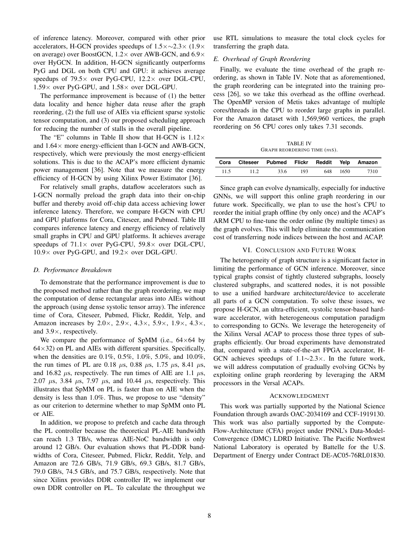of inference latency. Moreover, compared with other prior accelerators, H-GCN provides speedups of 1.5×∼2.3× (1.9× on average) over BoostGCN,  $1.2 \times$  over AWB-GCN, and  $6.9 \times$ over HyGCN. In addition, H-GCN significantly outperforms PyG and DGL on both CPU and GPU: it achieves average speedups of  $79.5 \times$  over PyG-CPU,  $12.2 \times$  over DGL-CPU, 1.59× over PyG-GPU, and 1.58× over DGL-GPU.

The performance improvement is because of (1) the better data locality and hence higher data reuse after the graph reordering, (2) the full use of AIEs via efficient sparse systolic tensor computation, and (3) our proposed scheduling approach for reducing the number of stalls in the overall pipeline.

The "E" columns in Table [II](#page-6-1) show that H-GCN is  $1.12\times$ and  $1.64 \times$  more energy-efficient than I-GCN and AWB-GCN, respectively, which were previously the most energy-efficient solutions. This is due to the ACAP's more efficient dynamic power management [\[36\]](#page-8-35). Note that we measure the energy efficiency of H-GCN by using Xilinx Power Estimator [\[36\]](#page-8-35).

For relatively small graphs, dataflow accelerators such as I-GCN normally preload the graph data into their on-chip buffer and thereby avoid off-chip data access achieving lower inference latency. Therefore, we compare H-GCN with CPU and GPU platforms for Cora, Citeseer, and Pubmed. Table [III](#page-6-2) compares inference latency and energy efficiency of relatively small graphs in CPU and GPU platforms. It achieves average speedups of  $71.1 \times$  over PyG-CPU,  $59.8 \times$  over DGL-CPU, 10.9× over PyG-GPU, and 19.2× over DGL-GPU.

### *D. Performance Breakdown*

To demonstrate that the performance improvement is due to the proposed method rather than the graph reordering, we map the computation of dense rectangular areas into AIEs without the approach (using dense systolic tensor array). The inference time of Cora, Citeseer, Pubmed, Flickr, Reddit, Yelp, and Amazon increases by  $2.0 \times$ ,  $2.9 \times$ ,  $4.3 \times$ ,  $5.9 \times$ ,  $1.9 \times$ ,  $4.3 \times$ , and 3.9×, respectively.

We compare the performance of SpMM (i.e.,  $64 \times 64$  by  $64\times32$ ) on PL and AIEs with different sparsities. Specifically, when the densities are 0.1%, 0.5%, 1.0%, 5.0%, and 10.0%, the run times of PL are 0.18  $\mu$ s, 0.88  $\mu$ s, 1.75  $\mu$ s, 8.41  $\mu$ s, and 16.82  $\mu$ s, respectively. The run times of AIE are 1.1  $\mu$ s, 2.07  $\mu$ s, 3.84  $\mu$ s, 7.97  $\mu$ s, and 10.44  $\mu$ s, respectively. This illustrates that SpMM on PL is faster than on AIE when the density is less than 1.0%. Thus, we propose to use "density" as our criterion to determine whether to map SpMM onto PL or AIE.

In addition, we propose to prefetch and cache data through the PL controller because the theoretical PL-AIE bandwidth can reach 1.3 TB/s, whereas AIE-NoC bandwidth is only around 12 GB/s. Our evaluation shows that PL-DDR bandwidths of Cora, Citeseer, Pubmed, Flickr, Reddit, Yelp, and Amazon are 72.6 GB/s, 71.9 GB/s, 69.3 GB/s, 81.7 GB/s, 79.0 GB/s, 74.5 GB/s, and 75.7 GB/s, respectively. Note that since Xilinx provides DDR controller IP, we implement our own DDR controller on PL. To calculate the throughput we use RTL simulations to measure the total clock cycles for transferring the graph data.

## *E. Overhead of Graph Reordering*

Finally, we evaluate the time overhead of the graph reordering, as shown in Table [IV.](#page-7-1) Note that as aforementioned, the graph reordering can be integrated into the training process [\[26\]](#page-8-25), so we take this overhead as the offline overhead. The OpenMP version of Metis takes advantage of multiple cores/threads in the CPU to reorder large graphs in parallel. For the Amazon dataset with 1,569,960 vertices, the graph reordering on 56 CPU cores only takes 7.31 seconds.

TABLE IV GRAPH REORDERING TIME (mS).

<span id="page-7-1"></span>

|      |      | Cora Citeseer Pubmed Flickr Reddit Yelp Amazon |      |          |      |  |
|------|------|------------------------------------------------|------|----------|------|--|
| 11.5 | 11.2 | 33.6                                           | 193. | 648 1650 | 7310 |  |

Since graph can evolve dynamically, especially for inductive GNNs, we will support this online graph reordering in our future work. Specifically, we plan to use the host's CPU to reorder the initial graph offline (by only once) and the ACAP's ARM CPU to fine-tune the order online (by multiple times) as the graph evolves. This will help eliminate the communication cost of transferring node indices between the host and ACAP.

## VI. CONCLUSION AND FUTURE WORK

<span id="page-7-0"></span>The heterogeneity of graph structure is a significant factor in limiting the performance of GCN inference. Moreover, since typical graphs consist of tightly clustered subgraphs, loosely clustered subgraphs, and scattered nodes, it is not possible to use a unified hardware architecture/device to accelerate all parts of a GCN computation. To solve these issues, we propose H-GCN, an ultra-efficient, systolic tensor-based hardware accelerator, with heterogeneous computation paradigm to corresponding to GCNs. We leverage the heterogeneity of the Xilinx Versal ACAP to process those three types of subgraphs efficiently. Our broad experiments have demonstrated that, compared with a state-of-the-art FPGA accelerator, H-GCN achieves speedups of 1.1∼2.3×. In the future work, we will address computation of gradually evolving GCNs by exploiting online graph reordering by leveraging the ARM processors in the Versal ACAPs.

## ACKNOWLEDGMENT

This work was partially supported by the National Science Foundation through awards OAC-2034169 and CCF-1919130. This work was also partially supported by the Compute-Flow-Architecture (CFA) project under PNNL's Data-Model-Convergence (DMC) LDRD Initiative. The Pacific Northwest National Laboratory is operated by Battelle for the U.S. Department of Energy under Contract DE-AC05-76RL01830.